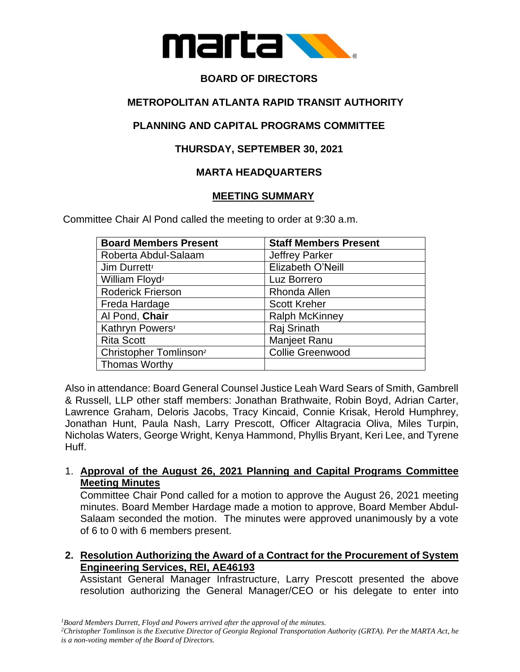

# **BOARD OF DIRECTORS**

# **METROPOLITAN ATLANTA RAPID TRANSIT AUTHORITY**

# **PLANNING AND CAPITAL PROGRAMS COMMITTEE**

# **THURSDAY, SEPTEMBER 30, 2021**

# **MARTA HEADQUARTERS**

# **MEETING SUMMARY**

Committee Chair Al Pond called the meeting to order at 9:30 a.m.

| <b>Board Members Present</b>       | <b>Staff Members Present</b> |
|------------------------------------|------------------------------|
| Roberta Abdul-Salaam               | <b>Jeffrey Parker</b>        |
| Jim Durrett <sup>1</sup>           | Elizabeth O'Neill            |
| William Floyd <sup>1</sup>         | Luz Borrero                  |
| <b>Roderick Frierson</b>           | Rhonda Allen                 |
| Freda Hardage                      | <b>Scott Kreher</b>          |
| Al Pond, Chair                     | <b>Ralph McKinney</b>        |
| Kathryn Powers <sup>1</sup>        | Raj Srinath                  |
| <b>Rita Scott</b>                  | <b>Manjeet Ranu</b>          |
| Christopher Tomlinson <sup>2</sup> | <b>Collie Greenwood</b>      |
| <b>Thomas Worthy</b>               |                              |

Also in attendance: Board General Counsel Justice Leah Ward Sears of Smith, Gambrell & Russell, LLP other staff members: Jonathan Brathwaite, Robin Boyd, Adrian Carter, Lawrence Graham, Deloris Jacobs, Tracy Kincaid, Connie Krisak, Herold Humphrey, Jonathan Hunt, Paula Nash, Larry Prescott, Officer Altagracia Oliva, Miles Turpin, Nicholas Waters, George Wright, Kenya Hammond, Phyllis Bryant, Keri Lee, and Tyrene Huff.

## 1. **Approval of the August 26, 2021 Planning and Capital Programs Committee Meeting Minutes**

Committee Chair Pond called for a motion to approve the August 26, 2021 meeting minutes. Board Member Hardage made a motion to approve, Board Member Abdul-Salaam seconded the motion. The minutes were approved unanimously by a vote of 6 to 0 with 6 members present.

**2. Resolution Authorizing the Award of a Contract for the Procurement of System Engineering Services, REI, AE46193**

Assistant General Manager Infrastructure, Larry Prescott presented the above resolution authorizing the General Manager/CEO or his delegate to enter into

*<sup>1</sup>Board Members Durrett, Floyd and Powers arrived after the approval of the minutes.*

*<sup>2</sup>Christopher Tomlinson is the Executive Director of Georgia Regional Transportation Authority (GRTA). Per the MARTA Act, he is a non-voting member of the Board of Directors.*